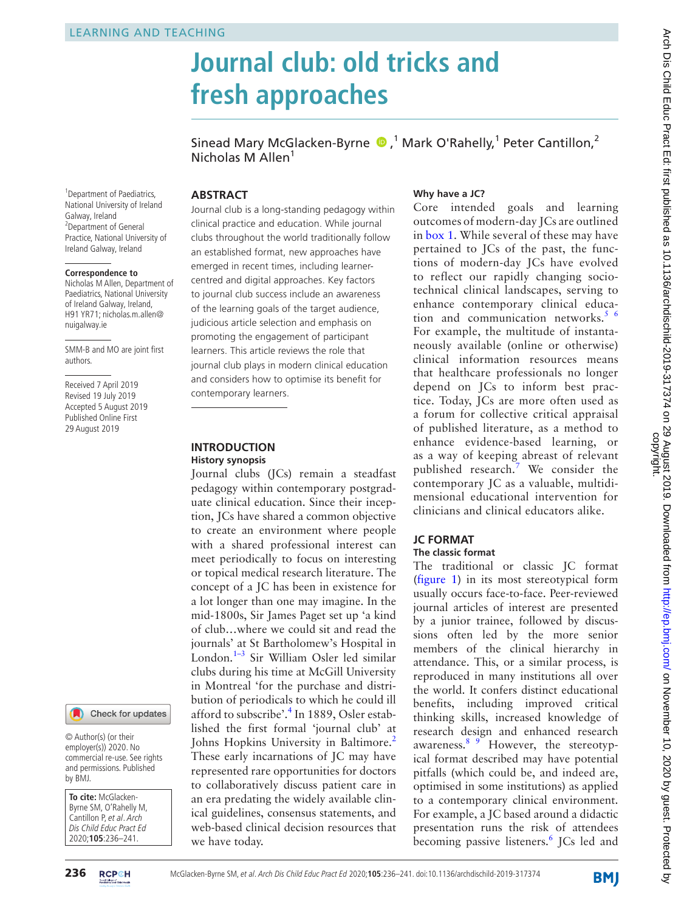# **Journal club: old tricks and fresh approaches**

SineadMary McGlacken-Byrne  $\bigcirc$  ,<sup>1</sup> Mark O'Rahelly,<sup>1</sup> Peter Cantillon,<sup>2</sup> Nicholas M Allen1

#### **Abstract**

Journal club is a long-standing pedagogy within clinical practice and education. While journal clubs throughout the world traditionally follow an established format, new approaches have emerged in recent times, including learnercentred and digital approaches. Key factors to journal club success include an awareness of the learning goals of the target audience, judicious article selection and emphasis on promoting the engagement of participant learners. This article reviews the role that journal club plays in modern clinical education and considers how to optimise its benefit for contemporary learners.

# **Introduction History synopsis**

Journal clubs (JCs) remain a steadfast pedagogy within contemporary postgraduate clinical education. Since their inception, JCs have shared a common objective to create an environment where people with a shared professional interest can meet periodically to focus on interesting or topical medical research literature. The concept of a JC has been in existence for a lot longer than one may imagine. In the mid-1800s, Sir James Paget set up 'a kind of club…where we could sit and read the journals' at St Bartholomew's Hospital in London.<sup>1-3</sup> Sir William Osler led similar clubs during his time at McGill University in Montreal 'for the purchase and distribution of periodicals to which he could ill afford to subscribe'.<sup>[4](#page-4-1)</sup> In 1889, Osler established the first formal 'journal club' at Johns Hopkins University in Baltimore.<sup>[2](#page-4-2)</sup> These early incarnations of JC may have represented rare opportunities for doctors to collaboratively discuss patient care in an era predating the widely available clinical guidelines, consensus statements, and web-based clinical decision resources that we have today.

#### **Why have a JC?**

Core intended goals and learning outcomes of modern-day JCs are outlined in [box](#page-1-0) 1. While several of these may have pertained to JCs of the past, the functions of modern-day JCs have evolved to reflect our rapidly changing sociotechnical clinical landscapes, serving to enhance contemporary clinical education and communication networks. $5/6$ For example, the multitude of instantaneously available (online or otherwise) clinical information resources means that healthcare professionals no longer depend on JCs to inform best practice. Today, JCs are more often used as a forum for collective critical appraisal of published literature, as a method to enhance evidence-based learning, or as a way of keeping abreast of relevant published research.<sup>[7](#page-4-4)</sup> We consider the contemporary JC as a valuable, multidimensional educational intervention for clinicians and clinical educators alike.

# **JC format**

#### **The classic format**

The traditional or classic JC format [\(figure](#page-1-1) 1) in its most stereotypical form usually occurs face-to-face. Peer-reviewed journal articles of interest are presented by a junior trainee, followed by discussions often led by the more senior members of the clinical hierarchy in attendance. This, or a similar process, is reproduced in many institutions all over the world. It confers distinct educational benefits, including improved critical thinking skills, increased knowledge of research design and enhanced research awareness. $8 \frac{9}{9}$  However, the stereotypical format described may have potential pitfalls (which could be, and indeed are, optimised in some institutions) as applied to a contemporary clinical environment. For example, a JC based around a didactic presentation runs the risk of attendees becoming passive listeners.<sup>[6](#page-4-6)</sup> JCs led and

<sup>1</sup> Department of Paediatrics, National University of Ireland Galway, Ireland <sup>2</sup>Department of General Practice, National University of Ireland Galway, Ireland

#### **Correspondence to**

Nicholas M Allen, Department of Paediatrics, National University of Ireland Galway, Ireland, H91 YR71; nicholas.m.allen@ nuigalway.ie

SMM-B and MO are joint first authors.

Received 7 April 2019 Revised 19 July 2019 Accepted 5 August 2019 Published Online First 29 August 2019



© Author(s) (or their employer(s)) 2020. No commercial re-use. See rights and permissions. Published by BMJ.

**To cite:** McGlacken-Byrne SM, O'Rahelly M, Cantillon P, et al. Arch Dis Child Educ Pract Ed 2020;**105**:236–241.



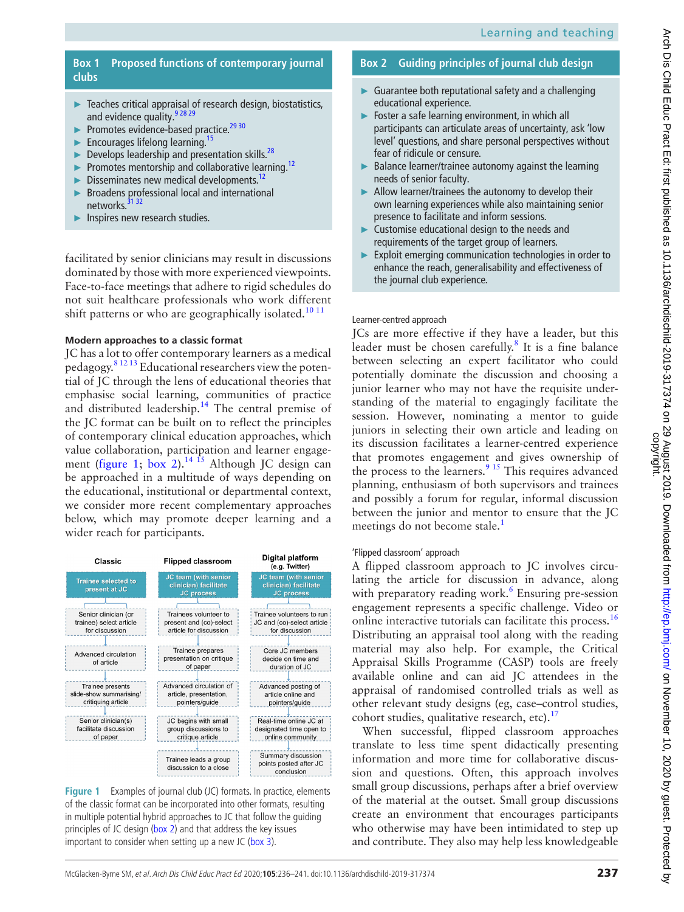# **Box 1 Proposed functions of contemporary journal clubs**

- <span id="page-1-0"></span>► Teaches critical appraisal of research design, biostatistics, and evidence quality.<sup>9 28 29</sup>
- ► Promotes evidence-based practice.<sup>[29 30](#page-5-0)</sup>
- Encourages lifelong learning.<sup>15</sup>
- $\blacktriangleright$  Develops leadership and presentation skills.<sup>[28](#page-5-1)</sup>
- ► Promotes mentorship and collaborative learning.<sup>12</sup>
- Disseminates new medical developments.<sup>12</sup>
- Broadens professional local and international networks.<sup>31</sup>32
- Inspires new research studies.

facilitated by senior clinicians may result in discussions dominated by those with more experienced viewpoints. Face-to-face meetings that adhere to rigid schedules do not suit healthcare professionals who work different shift patterns or who are geographically isolated.<sup>[10 11](#page-4-10)</sup>

# **Modern approaches to a classic format**

JC has a lot to offer contemporary learners as a medical pedagogy[.8 12 13](#page-4-5) Educational researchers view the potential of JC through the lens of educational theories that emphasise social learning, communities of practice and distributed leadership.<sup>14</sup> The central premise of the JC format can be built on to reflect the principles of contemporary clinical education approaches, which value collaboration, participation and learner engage-ment [\(figure](#page-1-1) 1; [box](#page-1-2) 2).<sup>[14 15](#page-4-11)</sup> Although JC design can be approached in a multitude of ways depending on the educational, institutional or departmental context, we consider more recent complementary approaches below, which may promote deeper learning and a wider reach for participants.



<span id="page-1-1"></span>**Figure 1** Examples of journal club (JC) formats. In practice, elements of the classic format can be incorporated into other formats, resulting in multiple potential hybrid approaches to JC that follow the guiding principles of JC design ([box 2](#page-1-2)) and that address the key issues important to consider when setting up a new JC [\(box 3](#page-2-0)).

# **Box 2 Guiding principles of journal club design**

- <span id="page-1-2"></span>► Guarantee both reputational safety and a challenging educational experience.
- ► Foster a safe learning environment, in which all participants can articulate areas of uncertainty, ask 'low level' questions, and share personal perspectives without fear of ridicule or censure.
- Balance learner/trainee autonomy against the learning needs of senior faculty.
- ► Allow learner/trainees the autonomy to develop their own learning experiences while also maintaining senior presence to facilitate and inform sessions.
- Customise educational design to the needs and requirements of the target group of learners.
- Exploit emerging communication technologies in order to enhance the reach, generalisability and effectiveness of the journal club experience.

### Learner-centred approach

JCs are more effective if they have a leader, but this leader must be chosen carefully.<sup>[8](#page-4-5)</sup> It is a fine balance between selecting an expert facilitator who could potentially dominate the discussion and choosing a junior learner who may not have the requisite understanding of the material to engagingly facilitate the session. However, nominating a mentor to guide juniors in selecting their own article and leading on its discussion facilitates a learner-centred experience that promotes engagement and gives ownership of the process to the learners.<sup>[9 15](#page-4-7)</sup> This requires advanced planning, enthusiasm of both supervisors and trainees and possibly a forum for regular, informal discussion between the junior and mentor to ensure that the JC meetings do not become stale.<sup>[1](#page-4-0)</sup>

# 'Flipped classroom' approach

A flipped classroom approach to JC involves circulating the article for discussion in advance, along with preparatory reading work.<sup>[6](#page-4-6)</sup> Ensuring pre-session engagement represents a specific challenge. Video or online interactive tutorials can facilitate this process.<sup>[16](#page-4-12)</sup> Distributing an appraisal tool along with the reading material may also help. For example, the Critical Appraisal Skills Programme (CASP) tools are freely available online and can aid JC attendees in the appraisal of randomised controlled trials as well as other relevant study designs (eg, case–control studies, cohort studies, qualitative research, etc).<sup>17</sup>

When successful, flipped classroom approaches translate to less time spent didactically presenting information and more time for collaborative discussion and questions. Often, this approach involves small group discussions, perhaps after a brief overview of the material at the outset. Small group discussions create an environment that encourages participants who otherwise may have been intimidated to step up and contribute. They also may help less knowledgeable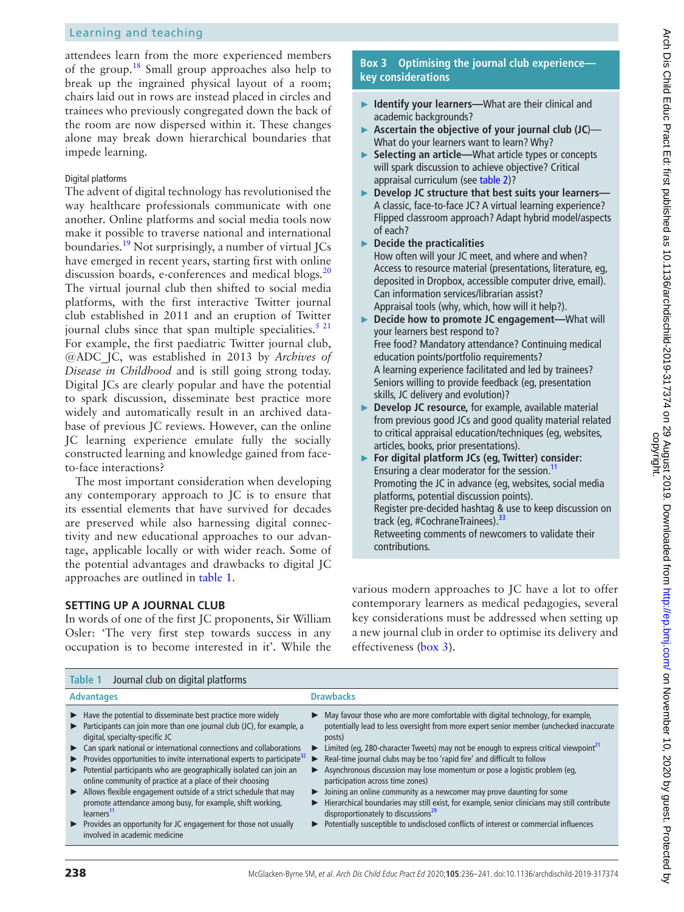# Learning and teaching

attendees learn from the more experienced members of the group.[18](#page-4-16) Small group approaches also help to break up the ingrained physical layout of a room; chairs laid out in rows are instead placed in circles and trainees who previously congregated down the back of the room are now dispersed within it. These changes alone may break down hierarchical boundaries that impede learning.

#### Digital platforms

The advent of digital technology has revolutionised the way healthcare professionals communicate with one another. Online platforms and social media tools now make it possible to traverse national and international boundaries.<sup>19</sup> Not surprisingly, a number of virtual  $\text{ICs}$ have emerged in recent years, starting first with online discussion boards, e-conferences and medical blogs.<sup>20</sup> The virtual journal club then shifted to social media platforms, with the first interactive Twitter journal club established in 2011 and an eruption of Twitter journal clubs since that span multiple specialities.<sup>[5 21](#page-4-3)</sup> For example, the first paediatric Twitter journal club, @ADC\_JC, was established in 2013 by *Archives of Disease in Childhood* and is still going strong today. Digital JCs are clearly popular and have the potential to spark discussion, disseminate best practice more widely and automatically result in an archived database of previous JC reviews. However, can the online JC learning experience emulate fully the socially constructed learning and knowledge gained from faceto-face interactions?

The most important consideration when developing any contemporary approach to JC is to ensure that its essential elements that have survived for decades are preserved while also harnessing digital connectivity and new educational approaches to our advantage, applicable locally or with wider reach. Some of the potential advantages and drawbacks to digital JC approaches are outlined in [table](#page-2-1) 1.

#### **Setting up a journal club**

In words of one of the first JC proponents, Sir William Osler: 'The very first step towards success in any occupation is to become interested in it'. While the

#### **Box 3 Optimising the journal club experience key considerations**

- <span id="page-2-0"></span>► **Identify your learners—**What are their clinical and academic backgrounds?
- ► **Ascertain the objective of your journal club (JC**)— What do your learners want to learn? Why?
- ► **Selecting an article—**What article types or concepts will spark discussion to achieve objective? Critical appraisal curriculum (see [table 2\)](#page-3-0)?
- ► **Develop JC structure that best suits your learners—** A classic, face-to-face JC? A virtual learning experience? Flipped classroom approach? Adapt hybrid model/aspects of each?
- ► **Decide the practicalities** How often will your JC meet, and where and when? Access to resource material (presentations, literature, eg, deposited in Dropbox, accessible computer drive, email). Can information services/librarian assist? Appraisal tools (why, which, how will it help?).
- ► **Decide how to promote JC engagement—**What will your learners best respond to? Free food? Mandatory attendance? Continuing medical education points/portfolio requirements? A learning experience facilitated and led by trainees? Seniors willing to provide feedback (eg, presentation skills, JC delivery and evolution)?
- **Develop JC resource,** for example, available material from previous good JCs and good quality material related to critical appraisal education/techniques (eg, websites, articles, books, prior presentations).
- ► **For digital platform JCs (eg, Twitter) consider:** Ensuring a clear moderator for the session.<sup>[11](#page-4-14)</sup> Promoting the JC in advance (eg, websites, social media platforms, potential discussion points). Register pre-decided hashtag & use to keep discussion on track (eg, #CochraneTrainees).<sup>3</sup> Retweeting comments of newcomers to validate their contributions.

various modern approaches to JC have a lot to offer contemporary learners as medical pedagogies, several key considerations must be addressed when setting up a new journal club in order to optimise its delivery and effectiveness [\(box](#page-2-0) 3).

<span id="page-2-1"></span>

| Journal club on digital platforms<br>Table 1                                                                                                                                                                                                                                                                                                                                                                                                                                                                                                                                                                                                                                                                                                                                                                                                                                                                                                                                                                                                                                                                                                                                                                                                                                                                                                          |                                                                                                                                                                                                                                                                                             |  |  |
|-------------------------------------------------------------------------------------------------------------------------------------------------------------------------------------------------------------------------------------------------------------------------------------------------------------------------------------------------------------------------------------------------------------------------------------------------------------------------------------------------------------------------------------------------------------------------------------------------------------------------------------------------------------------------------------------------------------------------------------------------------------------------------------------------------------------------------------------------------------------------------------------------------------------------------------------------------------------------------------------------------------------------------------------------------------------------------------------------------------------------------------------------------------------------------------------------------------------------------------------------------------------------------------------------------------------------------------------------------|---------------------------------------------------------------------------------------------------------------------------------------------------------------------------------------------------------------------------------------------------------------------------------------------|--|--|
| <b>Drawbacks</b><br><b>Advantages</b>                                                                                                                                                                                                                                                                                                                                                                                                                                                                                                                                                                                                                                                                                                                                                                                                                                                                                                                                                                                                                                                                                                                                                                                                                                                                                                                 |                                                                                                                                                                                                                                                                                             |  |  |
| $\triangleright$ May favour those who are more comfortable with digital technology, for example,<br>$\blacktriangleright$ Have the potential to disseminate best practice more widely<br>$\blacktriangleright$ Participants can join more than one journal club (JC), for example, a<br>digital, specialty-specific JC<br>posts)<br>• Can spark national or international connections and collaborations<br>$\triangleright$ Provides opportunities to invite international experts to participate <sup>32</sup><br>Real-time journal clubs may be too 'rapid fire' and difficult to follow<br>▶ Potential participants who are geographically isolated can join an<br>Asynchronous discussion may lose momentum or pose a logistic problem (eg.<br>online community of practice at a place of their choosing<br>participation across time zones)<br>Allows flexible engagement outside of a strict schedule that may<br>$\triangleright$ Joining an online community as a newcomer may prove daunting for some<br>promote attendance among busy, for example, shift working,<br>learners <sup>11</sup><br>disproportionately to discussions $^{29}$<br>► Potentially susceptible to undisclosed conflicts of interest or commercial influences<br>▶ Provides an opportunity for JC engagement for those not usually<br>involved in academic medicine | potentially lead to less oversight from more expert senior member (unchecked inaccurate<br>Limited (eq. 280-character Tweets) may not be enough to express critical viewpoint <sup>21</sup><br>Hierarchical boundaries may still exist, for example, senior clinicians may still contribute |  |  |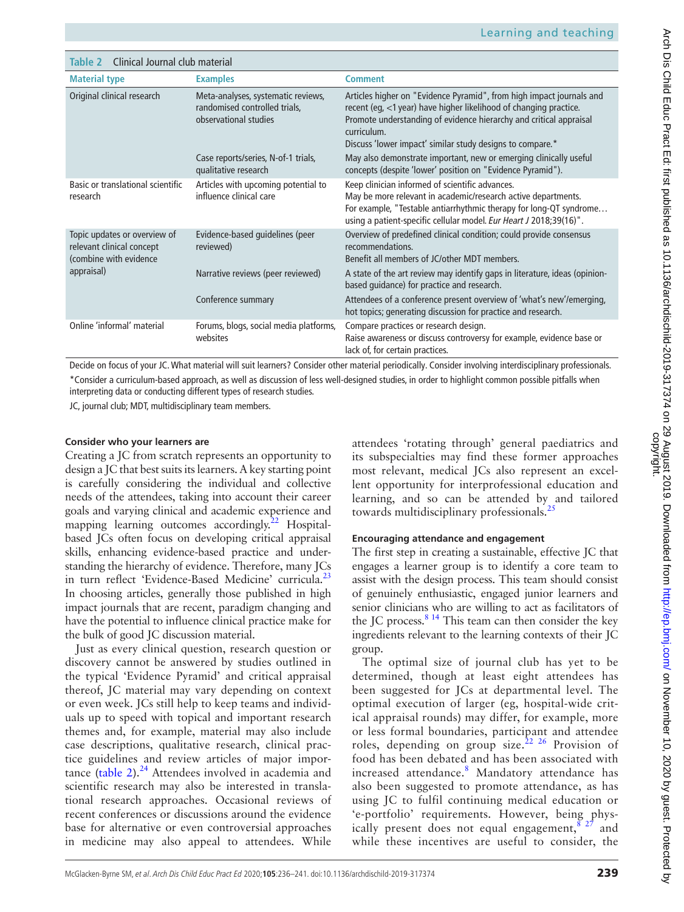<span id="page-3-0"></span>

| Clinical Journal club material<br>Table 2                                                         |                                                                                              |                                                                                                                                                                                                                                                                                             |
|---------------------------------------------------------------------------------------------------|----------------------------------------------------------------------------------------------|---------------------------------------------------------------------------------------------------------------------------------------------------------------------------------------------------------------------------------------------------------------------------------------------|
| <b>Material type</b>                                                                              | <b>Examples</b>                                                                              | <b>Comment</b>                                                                                                                                                                                                                                                                              |
| Original clinical research                                                                        | Meta-analyses, systematic reviews,<br>randomised controlled trials,<br>observational studies | Articles higher on "Evidence Pyramid", from high impact journals and<br>recent (eg, <1 year) have higher likelihood of changing practice.<br>Promote understanding of evidence hierarchy and critical appraisal<br>curriculum.<br>Discuss 'lower impact' similar study designs to compare.* |
|                                                                                                   | Case reports/series, N-of-1 trials,<br>qualitative research                                  | May also demonstrate important, new or emerging clinically useful<br>concepts (despite 'lower' position on "Evidence Pyramid").                                                                                                                                                             |
| Basic or translational scientific<br>research                                                     | Articles with upcoming potential to<br>influence clinical care                               | Keep clinician informed of scientific advances.<br>May be more relevant in academic/research active departments.<br>For example, "Testable antiarrhythmic therapy for long-QT syndrome<br>using a patient-specific cellular model. Eur Heart J 2018;39(16)".                                |
| Topic updates or overview of<br>relevant clinical concept<br>(combine with evidence<br>appraisal) | Evidence-based guidelines (peer<br>reviewed)                                                 | Overview of predefined clinical condition; could provide consensus<br>recommendations.<br>Benefit all members of JC/other MDT members.                                                                                                                                                      |
|                                                                                                   | Narrative reviews (peer reviewed)                                                            | A state of the art review may identify gaps in literature, ideas (opinion-<br>based quidance) for practice and research.                                                                                                                                                                    |
|                                                                                                   | Conference summary                                                                           | Attendees of a conference present overview of 'what's new'/emerging,<br>hot topics; generating discussion for practice and research.                                                                                                                                                        |
| Online 'informal' material                                                                        | Forums, blogs, social media platforms,<br>websites                                           | Compare practices or research design.<br>Raise awareness or discuss controversy for example, evidence base or<br>lack of, for certain practices.                                                                                                                                            |

Decide on focus of your JC. What material will suit learners? Consider other material periodically. Consider involving interdisciplinary professionals. \*Consider a curriculum-based approach, as well as discussion of less well-designed studies, in order to highlight common possible pitfalls when interpreting data or conducting different types of research studies.

JC, journal club; MDT, multidisciplinary team members.

#### **Consider who your learners are**

Creating a JC from scratch represents an opportunity to design a JC that best suits its learners. A key starting point is carefully considering the individual and collective needs of the attendees, taking into account their career goals and varying clinical and academic experience and mapping learning outcomes accordingly.<sup>22</sup> Hospitalbased JCs often focus on developing critical appraisal skills, enhancing evidence-based practice and understanding the hierarchy of evidence. Therefore, many JCs in turn reflect 'Evidence-Based Medicine' curricula.<sup>23</sup> In choosing articles, generally those published in high impact journals that are recent, paradigm changing and have the potential to influence clinical practice make for the bulk of good JC discussion material.

Just as every clinical question, research question or discovery cannot be answered by studies outlined in the typical 'Evidence Pyramid' and critical appraisal thereof, JC material may vary depending on context or even week. JCs still help to keep teams and individuals up to speed with topical and important research themes and, for example, material may also include case descriptions, qualitative research, clinical practice guidelines and review articles of major impor-tance [\(table](#page-3-0)  $2$ ).<sup>[24](#page-4-21)</sup> Attendees involved in academia and scientific research may also be interested in translational research approaches. Occasional reviews of recent conferences or discussions around the evidence base for alternative or even controversial approaches in medicine may also appeal to attendees. While

attendees 'rotating through' general paediatrics and its subspecialties may find these former approaches most relevant, medical JCs also represent an excellent opportunity for interprofessional education and learning, and so can be attended by and tailored towards multidisciplinary professionals.<sup>[25](#page-4-22)</sup>

#### **Encouraging attendance and engagement**

The first step in creating a sustainable, effective JC that engages a learner group is to identify a core team to assist with the design process. This team should consist of genuinely enthusiastic, engaged junior learners and senior clinicians who are willing to act as facilitators of the JC process. $8^{14}$  This team can then consider the key ingredients relevant to the learning contexts of their JC group.

The optimal size of journal club has yet to be determined, though at least eight attendees has been suggested for JCs at departmental level. The optimal execution of larger (eg, hospital-wide critical appraisal rounds) may differ, for example, more or less formal boundaries, participant and attendee roles, depending on group size.<sup>[22 26](#page-4-19)</sup> Provision of food has been debated and has been associated with increased attendance.<sup>[8](#page-4-5)</sup> Mandatory attendance has also been suggested to promote attendance, as has using JC to fulfil continuing medical education or 'e-portfolio' requirements. However, being physically present does not equal engagement, $8^{27}$  and while these incentives are useful to consider, the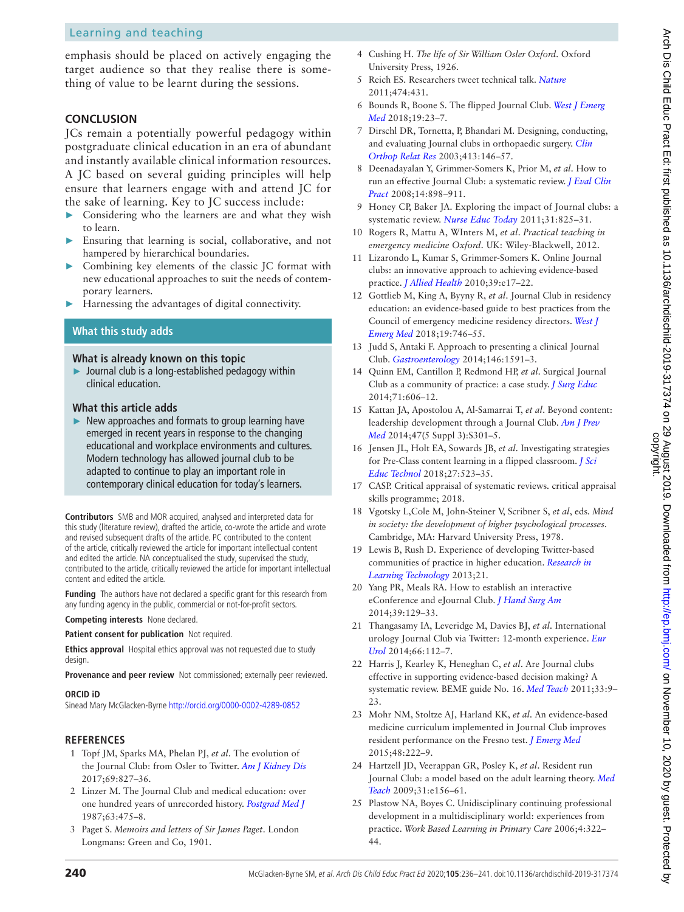# Learning and teaching

emphasis should be placed on actively engaging the target audience so that they realise there is something of value to be learnt during the sessions.

#### **Conclusion**

JCs remain a potentially powerful pedagogy within postgraduate clinical education in an era of abundant and instantly available clinical information resources. A JC based on several guiding principles will help ensure that learners engage with and attend JC for the sake of learning. Key to JC success include:

- Considering who the learners are and what they wish to learn.
- ► Ensuring that learning is social, collaborative, and not hampered by hierarchical boundaries.
- ► Combining key elements of the classic JC format with new educational approaches to suit the needs of contemporary learners.
- ► Harnessing the advantages of digital connectivity.

#### **What this study adds**

#### **What is already known on this topic**

 $\blacktriangleright$  Journal club is a long-established pedagogy within clinical education.

#### **What this article adds**

► New approaches and formats to group learning have emerged in recent years in response to the changing educational and workplace environments and cultures. Modern technology has allowed journal club to be adapted to continue to play an important role in contemporary clinical education for today's learners.

**Contributors** SMB and MOR acquired, analysed and interpreted data for this study (literature review), drafted the article, co-wrote the article and wrote and revised subsequent drafts of the article. PC contributed to the content of the article, critically reviewed the article for important intellectual content and edited the article. NA conceptualised the study, supervised the study, contributed to the article, critically reviewed the article for important intellectual content and edited the article.

**Funding** The authors have not declared a specific grant for this research from any funding agency in the public, commercial or not-for-profit sectors.

**Competing interests** None declared.

**Patient consent for publication** Not required.

**Ethics approval** Hospital ethics approval was not requested due to study design.

**Provenance and peer review** Not commissioned; externally peer reviewed.

#### **ORCID iD**

Sinead Mary McGlacken-Byrne<http://orcid.org/0000-0002-4289-0852>

#### **References**

- <span id="page-4-0"></span>1 Topf JM, Sparks MA, Phelan PJ, *et al*. The evolution of the Journal Club: from Osler to Twitter. *[Am J Kidney Dis](http://dx.doi.org/10.1053/j.ajkd.2016.12.012)* 2017;69:827–36.
- <span id="page-4-2"></span>2 Linzer M. The Journal Club and medical education: over one hundred years of unrecorded history. *[Postgrad Med J](http://dx.doi.org/10.1136/pgmj.63.740.475)* 1987;63:475–8.
- 3 Paget S. *Memoirs and letters of Sir James Paget*. London Longmans: Green and Co, 1901.
- <span id="page-4-1"></span>4 Cushing H. *The life of Sir William Osler Oxford*. Oxford University Press, 1926.
- <span id="page-4-3"></span>5 Reich ES. Researchers tweet technical talk. *[Nature](http://dx.doi.org/10.1038/474431a)* 2011;474:431.
- <span id="page-4-6"></span>6 Bounds R, Boone S. The flipped Journal Club. *[West J Emerg](http://dx.doi.org/10.5811/westjem.2017.11.34465)  [Med](http://dx.doi.org/10.5811/westjem.2017.11.34465)* 2018;19:23–7.
- <span id="page-4-4"></span>7 Dirschl DR, Tornetta, P, Bhandari M. Designing, conducting, and evaluating Journal clubs in orthopaedic surgery. *[Clin](http://dx.doi.org/10.1097/01.blo.0000081203.51121.25)  [Orthop Relat Res](http://dx.doi.org/10.1097/01.blo.0000081203.51121.25)* 2003;413:146–57.
- <span id="page-4-5"></span>8 Deenadayalan Y, Grimmer-Somers K, Prior M, *et al*. How to run an effective Journal Club: a systematic review. *[J Eval Clin](http://dx.doi.org/10.1111/j.1365-2753.2008.01050.x)  [Pract](http://dx.doi.org/10.1111/j.1365-2753.2008.01050.x)* 2008;14:898–911.
- <span id="page-4-7"></span>9 Honey CP, Baker JA. Exploring the impact of Journal clubs: a systematic review. *[Nurse Educ Today](http://dx.doi.org/10.1016/j.nedt.2010.12.020)* 2011;31:825–31.
- <span id="page-4-10"></span>10 Rogers R, Mattu A, WInters M, *et al*. *Practical teaching in emergency medicine Oxford*. UK: Wiley-Blackwell, 2012.
- <span id="page-4-14"></span>11 Lizarondo L, Kumar S, Grimmer-Somers K. Online Journal clubs: an innovative approach to achieving evidence-based practice. *[J Allied Health](http://www.ncbi.nlm.nih.gov/pubmed/20216996)* 2010;39:e17–22.
- <span id="page-4-9"></span>12 Gottlieb M, King A, Byyny R, *et al*. Journal Club in residency education: an evidence-based guide to best practices from the Council of emergency medicine residency directors. *[West J](http://dx.doi.org/10.5811/westjem.2018.4.37507)  [Emerg Med](http://dx.doi.org/10.5811/westjem.2018.4.37507)* 2018;19:746–55.
- 13 Judd S, Antaki F. Approach to presenting a clinical Journal Club. *[Gastroenterology](http://dx.doi.org/10.1053/j.gastro.2014.04.024)* 2014;146:1591–3.
- <span id="page-4-11"></span>14 Quinn EM, Cantillon P, Redmond HP, *et al*. Surgical Journal Club as a community of practice: a case study. *[J Surg Educ](http://dx.doi.org/10.1016/j.jsurg.2013.12.009)* 2014;71:606–12.
- <span id="page-4-8"></span>15 Kattan JA, Apostolou A, Al-Samarrai T, *et al*. Beyond content: leadership development through a Journal Club. *[Am J Prev](http://dx.doi.org/10.1016/j.amepre.2014.06.023)  [Med](http://dx.doi.org/10.1016/j.amepre.2014.06.023)* 2014;47(5 Suppl 3):S301–5.
- <span id="page-4-12"></span>16 Jensen JL, Holt EA, Sowards JB, *et al*. Investigating strategies for Pre-Class content learning in a flipped classroom. *[J Sci](http://dx.doi.org/10.1007/s10956-018-9740-6)  [Educ Technol](http://dx.doi.org/10.1007/s10956-018-9740-6)* 2018;27:523–35.
- <span id="page-4-13"></span>17 CASP. Critical appraisal of systematic reviews. critical appraisal skills programme; 2018.
- <span id="page-4-16"></span>18 Vgotsky L,Cole M, John-Steiner V, Scribner S, *et al*, eds. *Mind in society: the development of higher psychological processes*. Cambridge, MA: Harvard University Press, 1978.
- <span id="page-4-17"></span>19 Lewis B, Rush D. Experience of developing Twitter-based communities of practice in higher education. *[Research in](http://dx.doi.org/10.3402/rlt.v21i0.18598)  [Learning Technology](http://dx.doi.org/10.3402/rlt.v21i0.18598)* 2013;21.
- <span id="page-4-18"></span>20 Yang PR, Meals RA. How to establish an interactive eConference and eJournal Club. *[J Hand Surg Am](http://dx.doi.org/10.1016/j.jhsa.2013.10.004)* 2014;39:129–33.
- <span id="page-4-15"></span>21 Thangasamy IA, Leveridge M, Davies BJ, *et al*. International urology Journal Club via Twitter: 12-month experience. *[Eur](http://dx.doi.org/10.1016/j.eururo.2014.01.034)  [Urol](http://dx.doi.org/10.1016/j.eururo.2014.01.034)* 2014;66:112–7.
- <span id="page-4-19"></span>22 Harris J, Kearley K, Heneghan C, *et al*. Are Journal clubs effective in supporting evidence-based decision making? A systematic review. BEME guide No. 16. *[Med Teach](http://dx.doi.org/10.3109/0142159X.2011.530321)* 2011;33:9– 23.
- <span id="page-4-20"></span>23 Mohr NM, Stoltze AJ, Harland KK, *et al*. An evidence-based medicine curriculum implemented in Journal Club improves resident performance on the Fresno test. *[J Emerg Med](http://dx.doi.org/10.1016/j.jemermed.2014.09.011)* 2015;48:222–9.
- <span id="page-4-21"></span>24 Hartzell JD, Veerappan GR, Posley K, *et al*. Resident run Journal Club: a model based on the adult learning theory. *[Med](http://dx.doi.org/10.1080/01421590802516723)  [Teach](http://dx.doi.org/10.1080/01421590802516723)* 2009;31:e156–61.
- <span id="page-4-22"></span>25 Plastow NA, Boyes C. Unidisciplinary continuing professional development in a multidisciplinary world: experiences from practice. *Work Based Learning in Primary Care* 2006;4:322– 44.